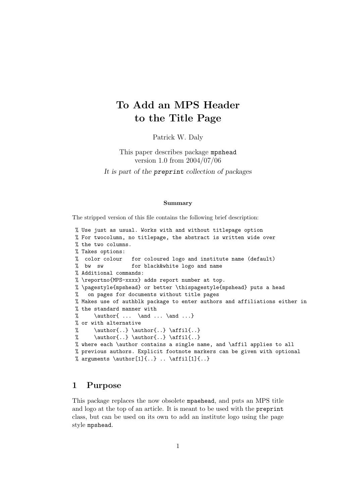# To Add an MPS Header to the Title Page

Patrick W. Daly

This paper describes package mpshead version 1.0 from 2004/07/06 It is part of the preprint collection of packages

#### Summary

The stripped version of this file contains the following brief description:

```
% Use just as usual. Works with and without titlepage option
% For twocolumn, no titlepage, the abstract is written wide over
% the two columns.
% Takes options:
% color colour for coloured logo and institute name (default)
% bw sw for black&white logo and name
% Additional commands:
% \reportno{MPS-xxxx} adds report number at top.
% \pagestyle{mpshead} or better \thispagestyle{mpshead} puts a head
% on pages for documents without title pages
% Makes use of authblk package to enter authors and affiliations either in
% the standard manner with
% \lambda \in \Lambda ... \land \ldots \}% or with alternative
% \author\{.. \} \atop{..} \atop% \author{..} \author{..} \affil{..}
% where each \author contains a single name, and \affil applies to all
% previous authors. Explicit footnote markers can be given with optional
% arguments \author[1]{...} .. \affi1[1]{...}
```
## 1 Purpose

This package replaces the now obsolete mpaehead, and puts an MPS title and logo at the top of an article. It is meant to be used with the preprint class, but can be used on its own to add an institute logo using the page style mpshead.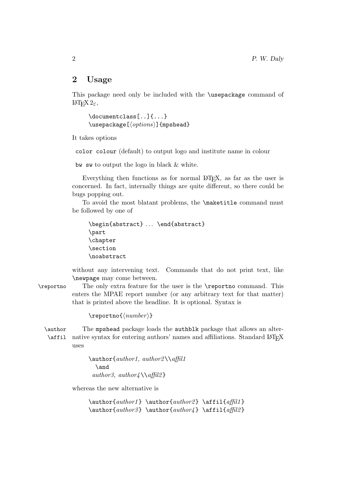#### 2 Usage

This package need only be included with the \usepackage command of LATEX 2ε,

```
\documentclass[..]{...}
\text{luseppe}[\langle options \rangle] {mpshead}
```
It takes options

color colour (default) to output logo and institute name in colour

bw sw to output the logo in black & white.

Everything then functions as for normal LAT<sub>E</sub>X, as far as the user is concerned. In fact, internally things are quite different, so there could be bugs popping out.

To avoid the most blatant problems, the \maketitle command must be followed by one of

```
\begin{abstract} ... \end{abstract}
\part
\chapter
\section
\noabstract
```
without any intervening text. Commands that do not print text, like \newpage may come between.

\reportno The only extra feature for the user is the \reportno command. This enters the MPAE report number (or any arbitrary text for that matter) that is printed above the headline. It is optional. Syntax is

 $\verb|\reportno{(*number*)|$ 

\author The mpshead package loads the authblk package that allows an alter- \affil native syntax for entering authors' names and affiliations. Standard LATEX uses

> \author{author1, author2\\affil1 \and author3, author4  $\alpha$ ffil2 }

whereas the new alternative is

 $\{\alpha\n{\alpha}\$  \author1 } \author{author2 } \affil{affil1 }  $\{\alpha\n 4 } \affil2 \}$